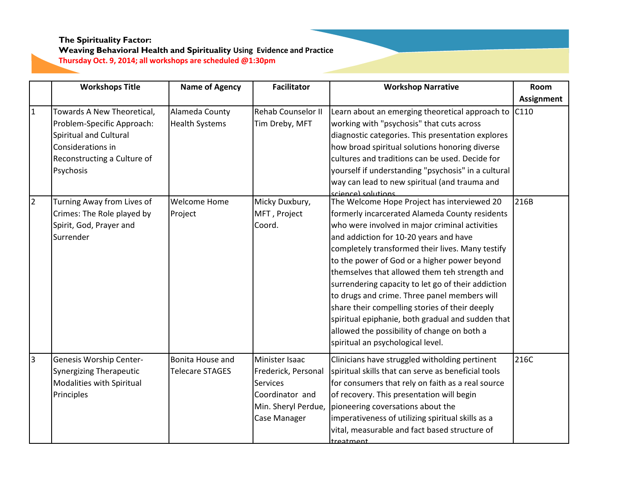# **Weaving Behavioral Health and Spirituality Using Evidence and Practice**

**Thursday Oct. 9, 2014; all workshops are scheduled @1:30pm**

|                | <b>Workshops Title</b>                                                                                                                              | <b>Name of Agency</b>                      | <b>Facilitator</b>                                                                                                 | <b>Workshop Narrative</b>                                                                                                                                                                                                                                                                                                                                                                                                                                                                                                                                                                                                                       | Room              |
|----------------|-----------------------------------------------------------------------------------------------------------------------------------------------------|--------------------------------------------|--------------------------------------------------------------------------------------------------------------------|-------------------------------------------------------------------------------------------------------------------------------------------------------------------------------------------------------------------------------------------------------------------------------------------------------------------------------------------------------------------------------------------------------------------------------------------------------------------------------------------------------------------------------------------------------------------------------------------------------------------------------------------------|-------------------|
|                |                                                                                                                                                     |                                            |                                                                                                                    |                                                                                                                                                                                                                                                                                                                                                                                                                                                                                                                                                                                                                                                 | <b>Assignment</b> |
| $\overline{1}$ | Towards A New Theoretical,<br>Problem-Specific Approach:<br>Spiritual and Cultural<br>Considerations in<br>Reconstructing a Culture of<br>Psychosis | Alameda County<br><b>Health Systems</b>    | <b>Rehab Counselor II</b><br>Tim Dreby, MFT                                                                        | Learn about an emerging theoretical approach to<br>working with "psychosis" that cuts across<br>diagnostic categories. This presentation explores<br>how broad spiritual solutions honoring diverse<br>cultures and traditions can be used. Decide for<br>yourself if understanding "psychosis" in a cultural<br>way can lead to new spiritual (and trauma and<br>science) solutions                                                                                                                                                                                                                                                            | C <sub>110</sub>  |
| $\overline{2}$ | Turning Away from Lives of<br>Crimes: The Role played by<br>Spirit, God, Prayer and<br>Surrender                                                    | <b>Welcome Home</b><br>Project             | Micky Duxbury,<br>MFT, Project<br>Coord.                                                                           | The Welcome Hope Project has interviewed 20<br>formerly incarcerated Alameda County residents<br>who were involved in major criminal activities<br>and addiction for 10-20 years and have<br>completely transformed their lives. Many testify<br>to the power of God or a higher power beyond<br>themselves that allowed them teh strength and<br>surrendering capacity to let go of their addiction<br>to drugs and crime. Three panel members will<br>share their compelling stories of their deeply<br>spiritual epiphanie, both gradual and sudden that<br>allowed the possibility of change on both a<br>spiritual an psychological level. | 216B              |
| $\overline{3}$ | Genesis Worship Center-<br><b>Synergizing Therapeutic</b><br>Modalities with Spiritual<br>Principles                                                | Bonita House and<br><b>Telecare STAGES</b> | Minister Isaac<br>Frederick, Personal<br><b>Services</b><br>Coordinator and<br>Min. Sheryl Perdue,<br>Case Manager | Clinicians have struggled witholding pertinent<br>spiritual skills that can serve as beneficial tools<br>for consumers that rely on faith as a real source<br>of recovery. This presentation will begin<br>pioneering coversations about the<br>imperativeness of utilizing spiritual skills as a<br>vital, measurable and fact based structure of<br>treatment                                                                                                                                                                                                                                                                                 | 216C              |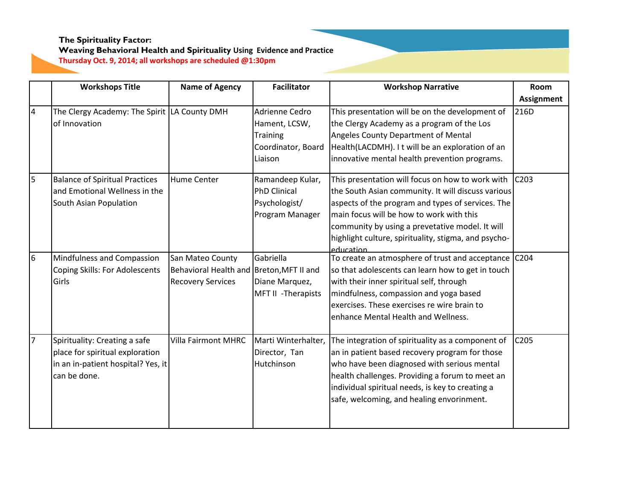#### **The Spirituality Factor: Weaving Behavioral Health and Spirituality Using Evidence and Practice Thursday Oct. 9, 2014; all workshops are scheduled @1:30pm**

|                         | <b>Workshops Title</b>                                                                                                 | <b>Name of Agency</b>                                                                    | <b>Facilitator</b>                                                           | <b>Workshop Narrative</b>                                                                                                                                                                                                                                                                                                       | Room             |
|-------------------------|------------------------------------------------------------------------------------------------------------------------|------------------------------------------------------------------------------------------|------------------------------------------------------------------------------|---------------------------------------------------------------------------------------------------------------------------------------------------------------------------------------------------------------------------------------------------------------------------------------------------------------------------------|------------------|
|                         |                                                                                                                        |                                                                                          |                                                                              |                                                                                                                                                                                                                                                                                                                                 | Assignment       |
| $\overline{\mathbf{4}}$ | The Clergy Academy: The Spirit LA County DMH<br>of Innovation                                                          |                                                                                          | Adrienne Cedro<br>Hament, LCSW,<br>Training<br>Coordinator, Board<br>Liaison | This presentation will be on the development of<br>the Clergy Academy as a program of the Los<br>Angeles County Department of Mental<br>Health(LACDMH). It will be an exploration of an<br>innovative mental health prevention programs.                                                                                        | 216D             |
| 5                       | <b>Balance of Spiritual Practices</b><br>and Emotional Wellness in the<br>South Asian Population                       | <b>Hume Center</b>                                                                       | Ramandeep Kular,<br><b>PhD Clinical</b><br>Psychologist/<br>Program Manager  | This presentation will focus on how to work with<br>the South Asian community. It will discuss various<br>aspects of the program and types of services. The<br>main focus will be how to work with this<br>community by using a prevetative model. It will<br>highlight culture, spirituality, stigma, and psycho-<br>education | C <sub>203</sub> |
| $6\overline{6}$         | Mindfulness and Compassion<br><b>Coping Skills: For Adolescents</b><br>Girls                                           | San Mateo County<br>Behavioral Health and Breton, MFT II and<br><b>Recovery Services</b> | Gabriella<br>Diane Marquez,<br>MFT II - Therapists                           | To create an atmosphere of trust and acceptance C204<br>so that adolescents can learn how to get in touch<br>with their inner spiritual self, through<br>mindfulness, compassion and yoga based<br>exercises. These exercises re wire brain to<br>enhance Mental Health and Wellness.                                           |                  |
| $\overline{7}$          | Spirituality: Creating a safe<br>place for spiritual exploration<br>in an in-patient hospital? Yes, it<br>can be done. | <b>Villa Fairmont MHRC</b>                                                               | Marti Winterhalter,<br>Director, Tan<br>Hutchinson                           | The integration of spirituality as a component of<br>an in patient based recovery program for those<br>who have been diagnosed with serious mental<br>health challenges. Providing a forum to meet an<br>individual spiritual needs, is key to creating a<br>safe, welcoming, and healing envorinment.                          | C205             |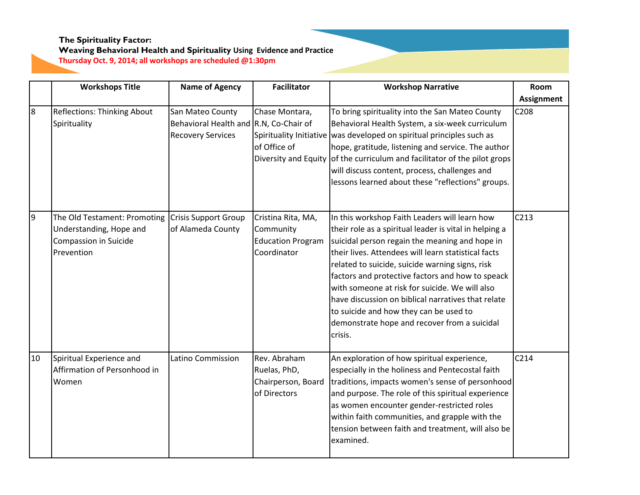#### **Weaving Behavioral Health and Spirituality Using Evidence and Practice Thursday Oct. 9, 2014; all workshops are scheduled @1:30pm**

**Workshop Narrative | Room Assignment Workshops Title Name of Agency Facilitator** 8 Reflections: Thinking About **Spirituality** San Mateo County Behavioral Health and R.N, Co-Chair of Recovery Services Chase Montara, Spirituality Initiative was developed on spiritual principles such as of Office of Diversity and Equity of the curriculum and facilitator of the pilot grops To bring spirituality into the San Mateo County Behavioral Health System, a six-week curriculum hope, gratitude, listening and service. The author will discuss content, process, challenges and lessons learned about these "reflections" groups. C208 9 The Old Testament: Promoting Understanding, Hope and Compassion in Suicide Prevention Crisis Support Group of Alameda County Cristina Rita, MA, Community Education Program Coordinator In this workshop Faith Leaders will learn how their role as a spiritual leader is vital in helping a suicidal person regain the meaning and hope in their lives. Attendees will learn statistical facts related to suicide, suicide warning signs, risk factors and protective factors and how to speack with someone at risk for suicide. We will also have discussion on biblical narratives that relate to suicide and how they can be used to demonstrate hope and recover from a suicidal crisis. C213 10 Spiritual Experience and Affirmation of Personhood in Women Latino Commission Rev. Abraham Ruelas, PhD, Chairperson, Board of Directors An exploration of how spiritual experience, especially in the holiness and Pentecostal faith traditions, impacts women's sense of personhood and purpose. The role of this spiritual experience as women encounter gender-restricted roles within faith communities, and grapple with the tension between faith and treatment, will also be examined. C214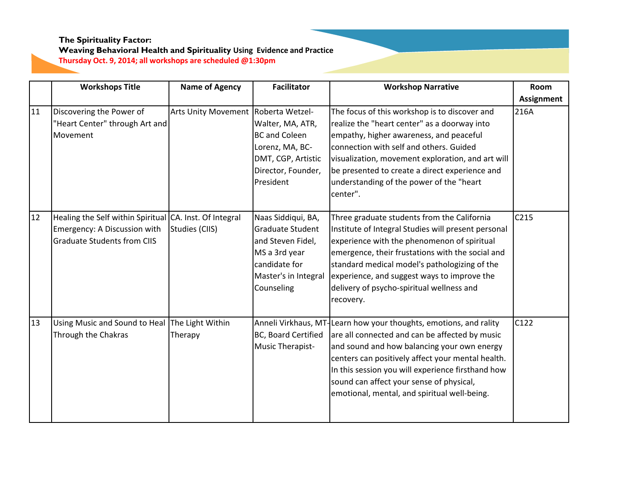## **Weaving Behavioral Health and Spirituality Using Evidence and Practice**

**Thursday Oct. 9, 2014; all workshops are scheduled @1:30pm**

|    | <b>Workshops Title</b>                                                                                                        | <b>Name of Agency</b>               | <b>Facilitator</b>                                                                                                                  | <b>Workshop Narrative</b>                                                                                                                                                                                                                                                                                                                                                | <b>Room</b>       |
|----|-------------------------------------------------------------------------------------------------------------------------------|-------------------------------------|-------------------------------------------------------------------------------------------------------------------------------------|--------------------------------------------------------------------------------------------------------------------------------------------------------------------------------------------------------------------------------------------------------------------------------------------------------------------------------------------------------------------------|-------------------|
|    |                                                                                                                               |                                     |                                                                                                                                     |                                                                                                                                                                                                                                                                                                                                                                          | <b>Assignment</b> |
| 11 | Discovering the Power of<br>"Heart Center" through Art and<br>Movement                                                        | Arts Unity Movement Roberta Wetzel- | Walter, MA, ATR,<br><b>BC and Coleen</b><br>Lorenz, MA, BC-<br>DMT, CGP, Artistic<br>Director, Founder,<br>President                | The focus of this workshop is to discover and<br>realize the "heart center" as a doorway into<br>empathy, higher awareness, and peaceful<br>connection with self and others. Guided<br>visualization, movement exploration, and art will<br>be presented to create a direct experience and<br>understanding of the power of the "heart<br>center".                       | 216A              |
| 12 | Healing the Self within Spiritual CA. Inst. Of Integral<br>Emergency: A Discussion with<br><b>Graduate Students from CIIS</b> | Studies (CIIS)                      | Naas Siddiqui, BA,<br>Graduate Student<br>and Steven Fidel,<br>MS a 3rd year<br>candidate for<br>Master's in Integral<br>Counseling | Three graduate students from the California<br>Institute of Integral Studies will present personal<br>experience with the phenomenon of spiritual<br>emergence, their frustations with the social and<br>standard medical model's pathologizing of the<br>experience, and suggest ways to improve the<br>delivery of psycho-spiritual wellness and<br>recovery.          | C215              |
| 13 | Using Music and Sound to Heal The Light Within<br>Through the Chakras                                                         | Therapy                             | BC, Board Certified<br>Music Therapist-                                                                                             | Anneli Virkhaus, MT-Learn how your thoughts, emotions, and rality<br>are all connected and can be affected by music<br>and sound and how balancing your own energy<br>centers can positively affect your mental health.<br>In this session you will experience firsthand how<br>sound can affect your sense of physical,<br>emotional, mental, and spiritual well-being. | C122              |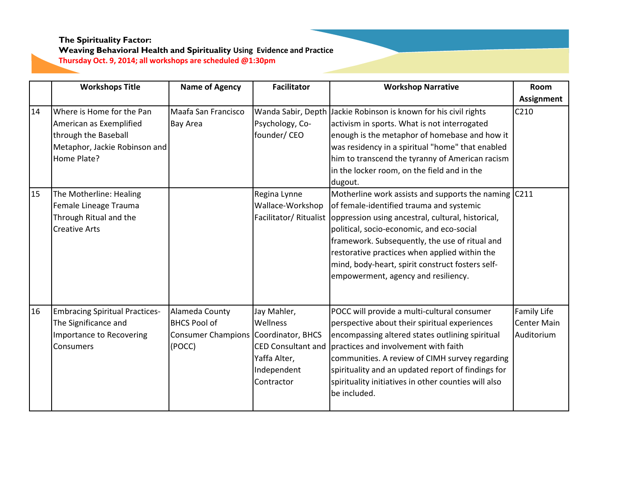# **Weaving Behavioral Health and Spirituality Using Evidence and Practice**

**Thursday Oct. 9, 2014; all workshops are scheduled @1:30pm**

|    | <b>Workshops Title</b>                | <b>Name of Agency</b>                | <b>Facilitator</b>        | <b>Workshop Narrative</b>                                                  | Room               |
|----|---------------------------------------|--------------------------------------|---------------------------|----------------------------------------------------------------------------|--------------------|
|    |                                       |                                      |                           |                                                                            | Assignment         |
| 14 | Where is Home for the Pan             | Maafa San Francisco                  |                           | Wanda Sabir, Depth Jackie Robinson is known for his civil rights           | C <sub>210</sub>   |
|    | American as Exemplified               | <b>Bay Area</b>                      | Psychology, Co-           | activism in sports. What is not interrogated                               |                    |
|    | through the Baseball                  |                                      | founder/CEO               | enough is the metaphor of homebase and how it                              |                    |
|    | Metaphor, Jackie Robinson and         |                                      |                           | was residency in a spiritual "home" that enabled                           |                    |
|    | Home Plate?                           |                                      |                           | him to transcend the tyranny of American racism                            |                    |
|    |                                       |                                      |                           | in the locker room, on the field and in the                                |                    |
|    |                                       |                                      |                           | dugout.                                                                    |                    |
| 15 | The Motherline: Healing               |                                      | Regina Lynne              | Motherline work assists and supports the naming $C211$                     |                    |
|    | Female Lineage Trauma                 |                                      | Wallace-Workshop          | of female-identified trauma and systemic                                   |                    |
|    | Through Ritual and the                |                                      |                           | Facilitator/ Ritualist   oppression using ancestral, cultural, historical, |                    |
|    | <b>Creative Arts</b>                  |                                      |                           | political, socio-economic, and eco-social                                  |                    |
|    |                                       |                                      |                           | framework. Subsequently, the use of ritual and                             |                    |
|    |                                       |                                      |                           | restorative practices when applied within the                              |                    |
|    |                                       |                                      |                           | mind, body-heart, spirit construct fosters self-                           |                    |
|    |                                       |                                      |                           | empowerment, agency and resiliency.                                        |                    |
|    |                                       |                                      |                           |                                                                            |                    |
|    |                                       |                                      |                           |                                                                            |                    |
| 16 | <b>Embracing Spiritual Practices-</b> | Alameda County                       | Jay Mahler,               | POCC will provide a multi-cultural consumer                                | Family Life        |
|    | The Significance and                  | <b>BHCS Pool of</b>                  | Wellness                  | perspective about their spiritual experiences                              | <b>Center Main</b> |
|    | Importance to Recovering              | Consumer Champions Coordinator, BHCS |                           | encompassing altered states outlining spiritual                            | Auditorium         |
|    | Consumers                             | (POCC)                               | <b>CED Consultant and</b> | practices and involvement with faith                                       |                    |
|    |                                       |                                      | Yaffa Alter,              | communities. A review of CIMH survey regarding                             |                    |
|    |                                       |                                      | Independent               | spirituality and an updated report of findings for                         |                    |
|    |                                       |                                      | Contractor                | spirituality initiatives in other counties will also                       |                    |
|    |                                       |                                      |                           | be included.                                                               |                    |
|    |                                       |                                      |                           |                                                                            |                    |